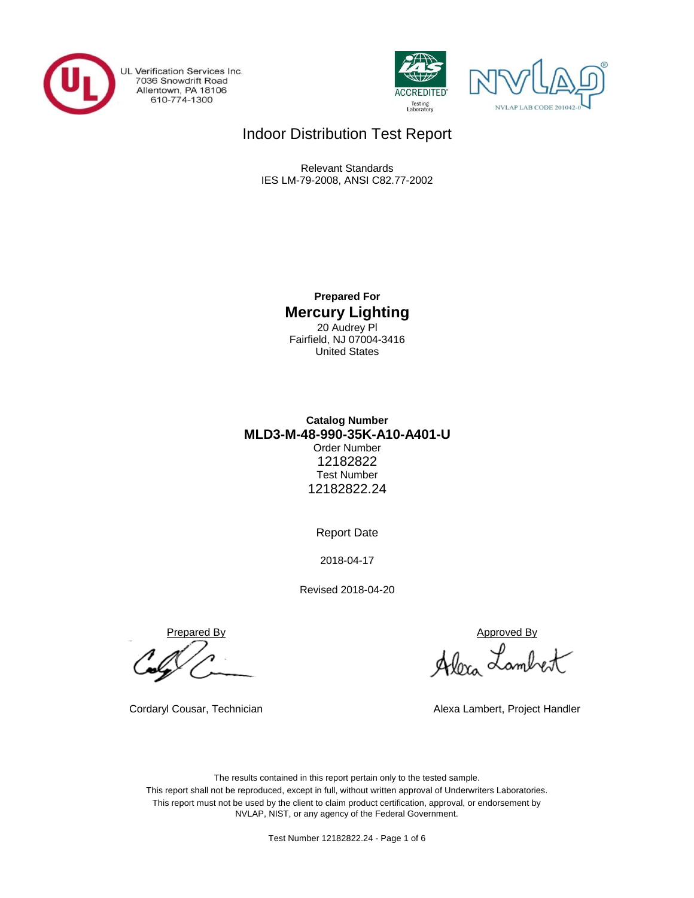

UL Verification Services Inc. 7036 Snowdrift Road<br>Allentown, PA 18106<br>610-774-1300





## Indoor Distribution Test Report

Relevant Standards IES LM-79-2008, ANSI C82.77-2002

> **Prepared For Mercury Lighting** 20 Audrey Pl Fairfield, NJ 07004-3416 United States

### **Catalog Number** Order Number 12182822 Test Number 12182822.24 **MLD3-M-48-990-35K-A10-A401-U**

Report Date

2018-04-17

Revised 2018-04-20

Prepared By Approved By

Alexa Lambert

Cordaryl Cousar, Technician Alexa Lambert, Project Handler

The results contained in this report pertain only to the tested sample. This report shall not be reproduced, except in full, without written approval of Underwriters Laboratories. This report must not be used by the client to claim product certification, approval, or endorsement by NVLAP, NIST, or any agency of the Federal Government.

Test Number 12182822.24 - Page 1 of 6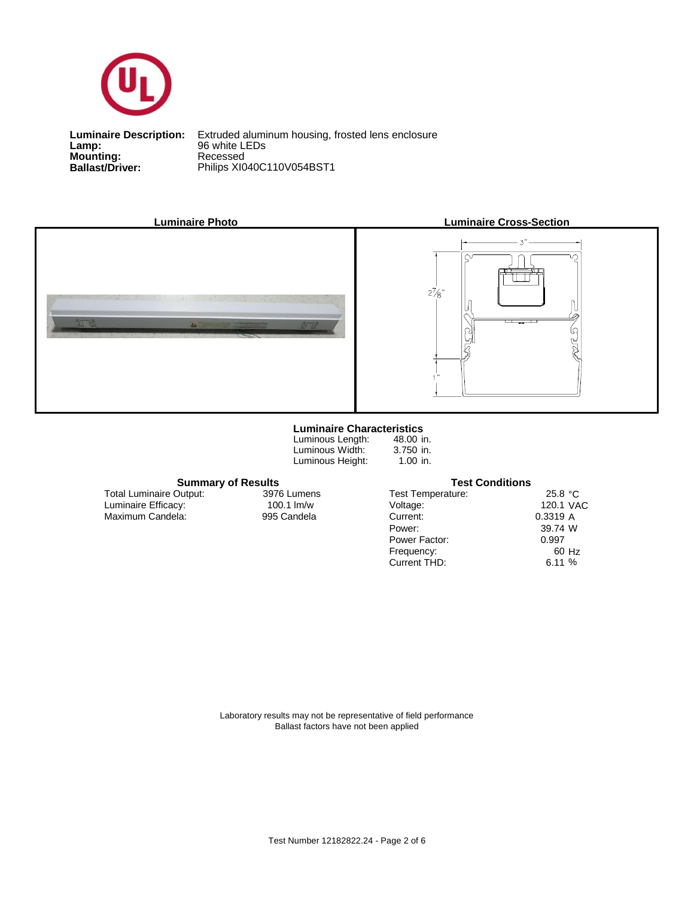

**Lamp:**<br>Mounting:<br>Ballast/Driver: **Lamp:** 96 white LEDs

**Luminaire Description:** Extruded aluminum housing, frosted lens enclosure **Ballast/Driver:** Philips XI040C110V054BST1



#### **Luminaire Characteristics**

Luminous Height: Luminous Length: Luminous Width:

48.00 in. 3.750 in. 1.00 in.

#### **Summary of Results Test Conditions**

Maximum Candela: 995 Candela Luminaire Efficacy: Total Luminaire Output:

3976 Lumens

| <b>Test Temperature:</b> | 25.8 °C   |
|--------------------------|-----------|
| Voltage:                 | 120.1 VAC |
| Current:                 | 0.3319A   |
| Power:                   | 39.74 W   |
| Power Factor:            | 0.997     |
| Frequency:               | 60 Hz     |
| Current THD:             | 6.11%     |

Laboratory results may not be representative of field performance Ballast factors have not been applied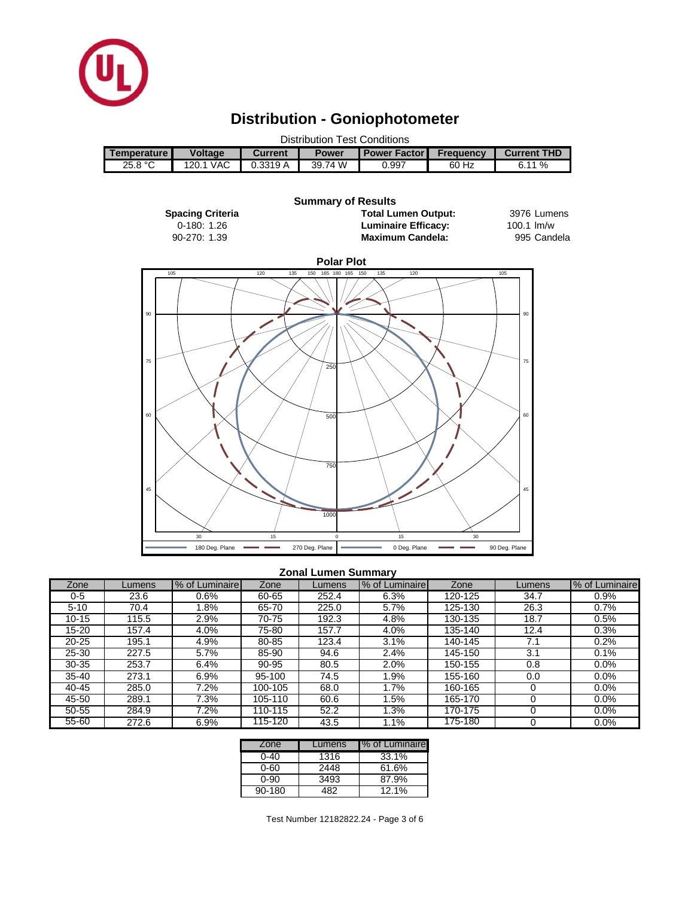

# **Distribution - Goniophotometer**

| <b>Distribution Test Conditions</b> |                |                           |              |                         |           |                    |  |  |
|-------------------------------------|----------------|---------------------------|--------------|-------------------------|-----------|--------------------|--|--|
| <b>Temperature I</b>                | <b>Voltage</b> | Current                   | <b>Power</b> | <b>I Power Factor I</b> | Frequency | <b>Current THD</b> |  |  |
| 25.8 °C                             | 120.1 VAC      | $0.3319 A$ $\blacksquare$ | 39.74 W      | 0.997                   | 60 Hz     | 6.11%              |  |  |
|                                     |                |                           |              |                         |           |                    |  |  |



#### **Zonal Lumen Summary**

| Zone      | Lumens | % of Luminaire | Zone    | Lumens | % of Luminaire | Zone    | Lumens | % of Luminaire |
|-----------|--------|----------------|---------|--------|----------------|---------|--------|----------------|
| 0-5       | 23.6   | 0.6%           | 60-65   | 252.4  | 6.3%           | 120-125 | 34.7   | 0.9%           |
| $5 - 10$  | 70.4   | .8%            | 65-70   | 225.0  | 5.7%           | 125-130 | 26.3   | 0.7%           |
| $10 - 15$ | 115.5  | 2.9%           | 70-75   | 192.3  | 4.8%           | 130-135 | 18.7   | 0.5%           |
| 15-20     | 157.4  | 4.0%           | 75-80   | 157.7  | 4.0%           | 135-140 | 12.4   | 0.3%           |
| $20 - 25$ | 195.1  | 4.9%           | 80-85   | 123.4  | 3.1%           | 140-145 |        | 0.2%           |
| 25-30     | 227.5  | 5.7%           | 85-90   | 94.6   | 2.4%           | 145-150 | 3.1    | 0.1%           |
| $30 - 35$ | 253.7  | 6.4%           | 90-95   | 80.5   | 2.0%           | 150-155 | 0.8    | 0.0%           |
| $35 - 40$ | 273.1  | 6.9%           | 95-100  | 74.5   | .9%            | 155-160 | 0.0    | 0.0%           |
| 40-45     | 285.0  | 7.2%           | 100-105 | 68.0   | .7%            | 160-165 |        | 0.0%           |
| 45-50     | 289.1  | 7.3%           | 105-110 | 60.6   | .5%            | 165-170 |        | 0.0%           |
| 50-55     | 284.9  | 7.2%           | 110-115 | 52.2   | .3%            | 170-175 |        | 0.0%           |
| 55-60     | 272.6  | 6.9%           | 115-120 | 43.5   | 1.1%           | 175-180 |        | 0.0%           |

| Zone   | Lumens | % of Luminaire |
|--------|--------|----------------|
| ი-4ი   | 1316   | 33.1%          |
| 0-60   | 2448   | 61.6%          |
| 0-90   | 3493   | 87.9%          |
| 90-180 |        | 12.1%          |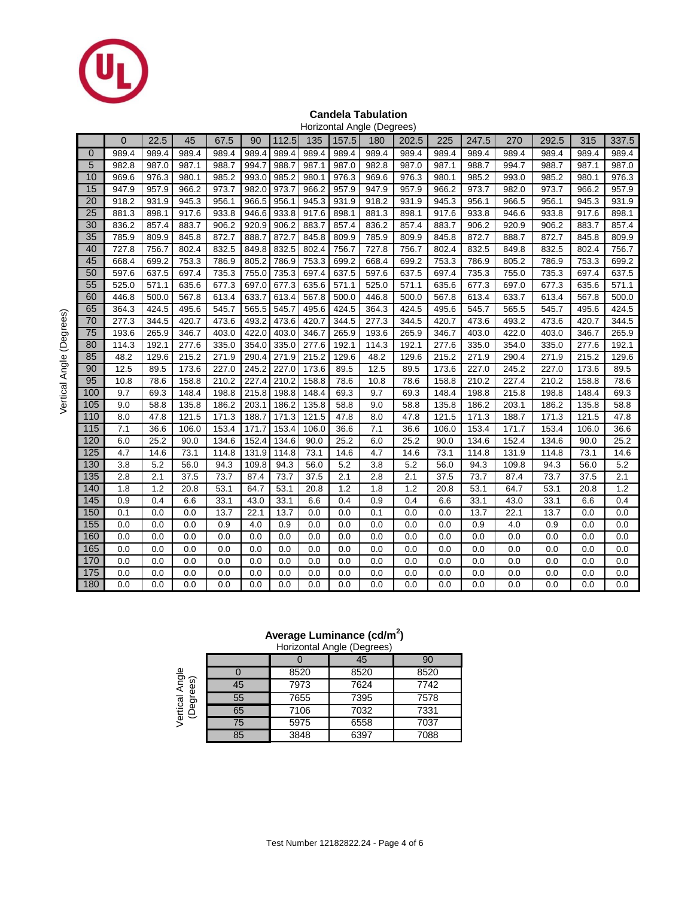

#### **Candela Tabulation** Horizontal Angle (Degrees)

|             |                |       |       |       |       |       |       |       | Horizonial Angle (Degrees) |       |       |       |       |       |       |       |
|-------------|----------------|-------|-------|-------|-------|-------|-------|-------|----------------------------|-------|-------|-------|-------|-------|-------|-------|
|             | $\overline{0}$ | 22.5  | 45    | 67.5  | 90    | 112.5 | 135   | 157.5 | 180                        | 202.5 | 225   | 247.5 | 270   | 292.5 | 315   | 337.5 |
| $\mathbf 0$ | 989.4          | 989.4 | 989.4 | 989.4 | 989.4 | 989.4 | 989.4 | 989.4 | 989.4                      | 989.4 | 989.4 | 989.4 | 989.4 | 989.4 | 989.4 | 989.4 |
| 5           | 982.8          | 987.0 | 987.1 | 988.7 | 994.7 | 988.7 | 987.1 | 987.0 | 982.8                      | 987.0 | 987.1 | 988.7 | 994.7 | 988.7 | 987.1 | 987.0 |
| 10          | 969.6          | 976.3 | 980.1 | 985.2 | 993.0 | 985.2 | 980.1 | 976.3 | 969.6                      | 976.3 | 980.1 | 985.2 | 993.0 | 985.2 | 980.1 | 976.3 |
| 15          | 947.9          | 957.9 | 966.2 | 973.7 | 982.0 | 973.7 | 966.2 | 957.9 | 947.9                      | 957.9 | 966.2 | 973.7 | 982.0 | 973.7 | 966.2 | 957.9 |
| 20          | 918.2          | 931.9 | 945.3 | 956.1 | 966.5 | 956.1 | 945.3 | 931.9 | 918.2                      | 931.9 | 945.3 | 956.1 | 966.5 | 956.1 | 945.3 | 931.9 |
| 25          | 881.3          | 898.1 | 917.6 | 933.8 | 946.6 | 933.8 | 917.6 | 898.1 | 881.3                      | 898.1 | 917.6 | 933.8 | 946.6 | 933.8 | 917.6 | 898.1 |
| 30          | 836.2          | 857.4 | 883.7 | 906.2 | 920.9 | 906.2 | 883.7 | 857.4 | 836.2                      | 857.4 | 883.7 | 906.2 | 920.9 | 906.2 | 883.7 | 857.4 |
| 35          | 785.9          | 809.9 | 845.8 | 872.7 | 888.7 | 872.7 | 845.8 | 809.9 | 785.9                      | 809.9 | 845.8 | 872.7 | 888.7 | 872.7 | 845.8 | 809.9 |
| 40          | 727.8          | 756.7 | 802.4 | 832.5 | 849.8 | 832.5 | 802.4 | 756.7 | 727.8                      | 756.7 | 802.4 | 832.5 | 849.8 | 832.5 | 802.4 | 756.7 |
| 45          | 668.4          | 699.2 | 753.3 | 786.9 | 805.2 | 786.9 | 753.3 | 699.2 | 668.4                      | 699.2 | 753.3 | 786.9 | 805.2 | 786.9 | 753.3 | 699.2 |
| 50          | 597.6          | 637.5 | 697.4 | 735.3 | 755.0 | 735.3 | 697.4 | 637.5 | 597.6                      | 637.5 | 697.4 | 735.3 | 755.0 | 735.3 | 697.4 | 637.5 |
| 55          | 525.0          | 571.1 | 635.6 | 677.3 | 697.0 | 677.3 | 635.6 | 571.1 | 525.0                      | 571.1 | 635.6 | 677.3 | 697.0 | 677.3 | 635.6 | 571.1 |
| 60          | 446.8          | 500.0 | 567.8 | 613.4 | 633.7 | 613.4 | 567.8 | 500.0 | 446.8                      | 500.0 | 567.8 | 613.4 | 633.7 | 613.4 | 567.8 | 500.0 |
| 65          | 364.3          | 424.5 | 495.6 | 545.7 | 565.5 | 545.7 | 495.6 | 424.5 | 364.3                      | 424.5 | 495.6 | 545.7 | 565.5 | 545.7 | 495.6 | 424.5 |
| 70          | 277.3          | 344.5 | 420.7 | 473.6 | 493.2 | 473.6 | 420.7 | 344.5 | 277.3                      | 344.5 | 420.7 | 473.6 | 493.2 | 473.6 | 420.7 | 344.5 |
| 75          | 193.6          | 265.9 | 346.7 | 403.0 | 422.0 | 403.0 | 346.7 | 265.9 | 193.6                      | 265.9 | 346.7 | 403.0 | 422.0 | 403.0 | 346.7 | 265.9 |
| 80          | 114.3          | 192.1 | 277.6 | 335.0 | 354.0 | 335.0 | 277.6 | 192.1 | 114.3                      | 192.1 | 277.6 | 335.0 | 354.0 | 335.0 | 277.6 | 192.1 |
| 85          | 48.2           | 129.6 | 215.2 | 271.9 | 290.4 | 271.9 | 215.2 | 129.6 | 48.2                       | 129.6 | 215.2 | 271.9 | 290.4 | 271.9 | 215.2 | 129.6 |
| 90          | 12.5           | 89.5  | 173.6 | 227.0 | 245.2 | 227.0 | 173.6 | 89.5  | 12.5                       | 89.5  | 173.6 | 227.0 | 245.2 | 227.0 | 173.6 | 89.5  |
| 95          | 10.8           | 78.6  | 158.8 | 210.2 | 227.4 | 210.2 | 158.8 | 78.6  | 10.8                       | 78.6  | 158.8 | 210.2 | 227.4 | 210.2 | 158.8 | 78.6  |
| 100         | 9.7            | 69.3  | 148.4 | 198.8 | 215.8 | 198.8 | 148.4 | 69.3  | 9.7                        | 69.3  | 148.4 | 198.8 | 215.8 | 198.8 | 148.4 | 69.3  |
| 105         | 9.0            | 58.8  | 135.8 | 186.2 | 203.1 | 186.2 | 135.8 | 58.8  | 9.0                        | 58.8  | 135.8 | 186.2 | 203.1 | 186.2 | 135.8 | 58.8  |
| 110         | 8.0            | 47.8  | 121.5 | 171.3 | 188.7 | 171.3 | 121.5 | 47.8  | 8.0                        | 47.8  | 121.5 | 171.3 | 188.7 | 171.3 | 121.5 | 47.8  |
| 115         | 7.1            | 36.6  | 106.0 | 153.4 | 171.7 | 153.4 | 106.0 | 36.6  | 7.1                        | 36.6  | 106.0 | 153.4 | 171.7 | 153.4 | 106.0 | 36.6  |
| 120         | 6.0            | 25.2  | 90.0  | 134.6 | 152.4 | 134.6 | 90.0  | 25.2  | 6.0                        | 25.2  | 90.0  | 134.6 | 152.4 | 134.6 | 90.0  | 25.2  |
| 125         | 4.7            | 14.6  | 73.1  | 114.8 | 131.9 | 114.8 | 73.1  | 14.6  | 4.7                        | 14.6  | 73.1  | 114.8 | 131.9 | 114.8 | 73.1  | 14.6  |
| 130         | 3.8            | 5.2   | 56.0  | 94.3  | 109.8 | 94.3  | 56.0  | 5.2   | 3.8                        | 5.2   | 56.0  | 94.3  | 109.8 | 94.3  | 56.0  | 5.2   |
| 135         | 2.8            | 2.1   | 37.5  | 73.7  | 87.4  | 73.7  | 37.5  | 2.1   | 2.8                        | 2.1   | 37.5  | 73.7  | 87.4  | 73.7  | 37.5  | 2.1   |
| 140         | 1.8            | 1.2   | 20.8  | 53.1  | 64.7  | 53.1  | 20.8  | 1.2   | 1.8                        | 1.2   | 20.8  | 53.1  | 64.7  | 53.1  | 20.8  | 1.2   |
| 145         | 0.9            | 0.4   | 6.6   | 33.1  | 43.0  | 33.1  | 6.6   | 0.4   | 0.9                        | 0.4   | 6.6   | 33.1  | 43.0  | 33.1  | 6.6   | 0.4   |
| 150         | 0.1            | 0.0   | 0.0   | 13.7  | 22.1  | 13.7  | 0.0   | 0.0   | 0.1                        | 0.0   | 0.0   | 13.7  | 22.1  | 13.7  | 0.0   | 0.0   |
| 155         | 0.0            | 0.0   | 0.0   | 0.9   | 4.0   | 0.9   | 0.0   | 0.0   | 0.0                        | 0.0   | 0.0   | 0.9   | 4.0   | 0.9   | 0.0   | 0.0   |
| 160         | 0.0            | 0.0   | 0.0   | 0.0   | 0.0   | 0.0   | 0.0   | 0.0   | 0.0                        | 0.0   | 0.0   | 0.0   | 0.0   | 0.0   | 0.0   | 0.0   |
| 165         | 0.0            | 0.0   | 0.0   | 0.0   | 0.0   | 0.0   | 0.0   | 0.0   | 0.0                        | 0.0   | 0.0   | 0.0   | 0.0   | 0.0   | 0.0   | 0.0   |
| 170         | 0.0            | 0.0   | 0.0   | 0.0   | 0.0   | 0.0   | 0.0   | 0.0   | 0.0                        | 0.0   | 0.0   | 0.0   | 0.0   | 0.0   | 0.0   | 0.0   |
| 175         | 0.0            | 0.0   | 0.0   | 0.0   | 0.0   | 0.0   | 0.0   | 0.0   | 0.0                        | 0.0   | 0.0   | 0.0   | 0.0   | 0.0   | 0.0   | 0.0   |
| 180         | 0.0            | 0.0   | 0.0   | 0.0   | 0.0   | 0.0   | 0.0   | 0.0   | 0.0                        | 0.0   | 0.0   | 0.0   | 0.0   | 0.0   | 0.0   | 0.0   |

#### **Average Luminance (cd/m<sup>2</sup> )**

|                                                     |    |      | Horizontal Angle (Degrees) |      |
|-----------------------------------------------------|----|------|----------------------------|------|
|                                                     |    |      | 45                         | 90   |
| Angle<br>ses)<br>Ë<br>Vertical<br>(Degre<br>еğ<br>Ф |    | 8520 | 8520                       | 8520 |
|                                                     | 45 | 7973 | 7624                       | 7742 |
|                                                     | 55 | 7655 | 7395                       | 7578 |
|                                                     | 65 | 7106 | 7032                       | 7331 |
|                                                     | 75 | 5975 | 6558                       | 7037 |
|                                                     | 85 | 3848 | 6397                       | 7088 |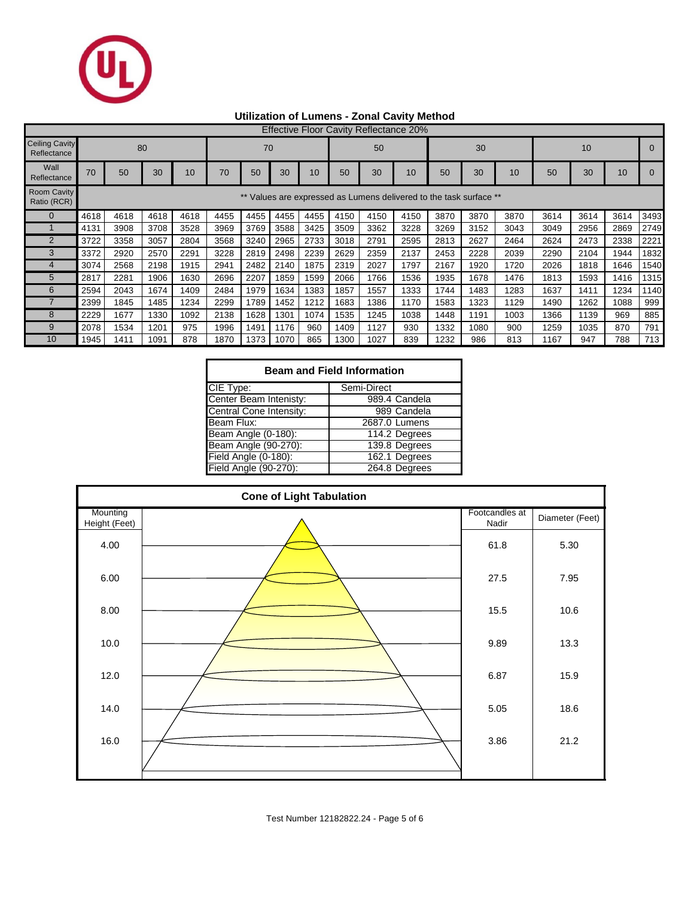

### **Utilization of Lumens - Zonal Cavity Method**

| <b>Effective Floor Cavity Reflectance 20%</b> |                                                                 |          |      |      |      |      |      |      |      |      |      |      |      |      |      |      |      |      |
|-----------------------------------------------|-----------------------------------------------------------------|----------|------|------|------|------|------|------|------|------|------|------|------|------|------|------|------|------|
| <b>Ceiling Cavity</b><br>Reflectance          |                                                                 | 80<br>70 |      |      |      |      | 50   |      |      | 30   |      |      | 10   |      |      |      |      |      |
| Wall<br>Reflectance                           | 70                                                              | 50       | 30   | 10   | 70   | 50   | 30   | 10   | 50   | 30   | 10   | 50   | 30   | 10   | 50   | 30   | 10   |      |
| <b>Room Cavity</b><br>Ratio (RCR)             | Values are expressed as Lumens delivered to the task surface ** |          |      |      |      |      |      |      |      |      |      |      |      |      |      |      |      |      |
|                                               | 4618                                                            | 4618     | 4618 | 4618 | 4455 | 4455 | 4455 | 4455 | 4150 | 4150 | 4150 | 3870 | 3870 | 3870 | 3614 | 3614 | 3614 | 3493 |
|                                               | 4131                                                            | 3908     | 3708 | 3528 | 3969 | 3769 | 3588 | 3425 | 3509 | 3362 | 3228 | 3269 | 3152 | 3043 | 3049 | 2956 | 2869 | 2749 |
| $\overline{2}$                                | 3722                                                            | 3358     | 3057 | 2804 | 3568 | 3240 | 2965 | 2733 | 3018 | 2791 | 2595 | 2813 | 2627 | 2464 | 2624 | 2473 | 2338 | 2221 |
| 3                                             | 3372                                                            | 2920     | 2570 | 2291 | 3228 | 2819 | 2498 | 2239 | 2629 | 2359 | 2137 | 2453 | 2228 | 2039 | 2290 | 2104 | 1944 | 1832 |
|                                               | 3074                                                            | 2568     | 2198 | 1915 | 2941 | 2482 | 2140 | 1875 | 2319 | 2027 | 1797 | 2167 | 1920 | 1720 | 2026 | 1818 | 1646 | 1540 |
| 5                                             | 2817                                                            | 2281     | 1906 | 1630 | 2696 | 2207 | 1859 | 1599 | 2066 | 1766 | 1536 | 1935 | 1678 | 1476 | 1813 | 1593 | 1416 | 1315 |
| 6                                             | 2594                                                            | 2043     | 1674 | 1409 | 2484 | 1979 | 1634 | 1383 | 1857 | 1557 | 1333 | 1744 | 1483 | 1283 | 1637 | 1411 | 1234 | 1140 |
|                                               | 2399                                                            | 1845     | 1485 | 1234 | 2299 | 1789 | 1452 | 1212 | 1683 | 1386 | 1170 | 1583 | 1323 | 1129 | 1490 | 1262 | 1088 | 999  |
| 8                                             | 2229                                                            | 1677     | 1330 | 1092 | 2138 | 1628 | 1301 | 1074 | 1535 | 1245 | 1038 | 1448 | 1191 | 1003 | 1366 | 1139 | 969  | 885  |
| 9                                             | 2078                                                            | 1534     | 1201 | 975  | 1996 | 1491 | 1176 | 960  | 1409 | 1127 | 930  | 1332 | 1080 | 900  | 1259 | 1035 | 870  | 791  |
| 10                                            | 1945                                                            | 1411     | 1091 | 878  | 1870 | 1373 | 1070 | 865  | 1300 | 1027 | 839  | 1232 | 986  | 813  | 1167 | 947  | 788  | 713  |

| <b>Beam and Field Information</b> |               |  |  |  |  |  |  |
|-----------------------------------|---------------|--|--|--|--|--|--|
| CIE Type:                         | Semi-Direct   |  |  |  |  |  |  |
| Center Beam Intenisty:            | 989.4 Candela |  |  |  |  |  |  |
| Central Cone Intensity:           | 989 Candela   |  |  |  |  |  |  |
| Beam Flux:                        | 2687.0 Lumens |  |  |  |  |  |  |
| Beam Angle (0-180):               | 114.2 Degrees |  |  |  |  |  |  |
| Beam Angle (90-270):              | 139.8 Degrees |  |  |  |  |  |  |
| Field Angle (0-180):              | 162.1 Degrees |  |  |  |  |  |  |
| Field Angle (90-270):             | 264.8 Degrees |  |  |  |  |  |  |